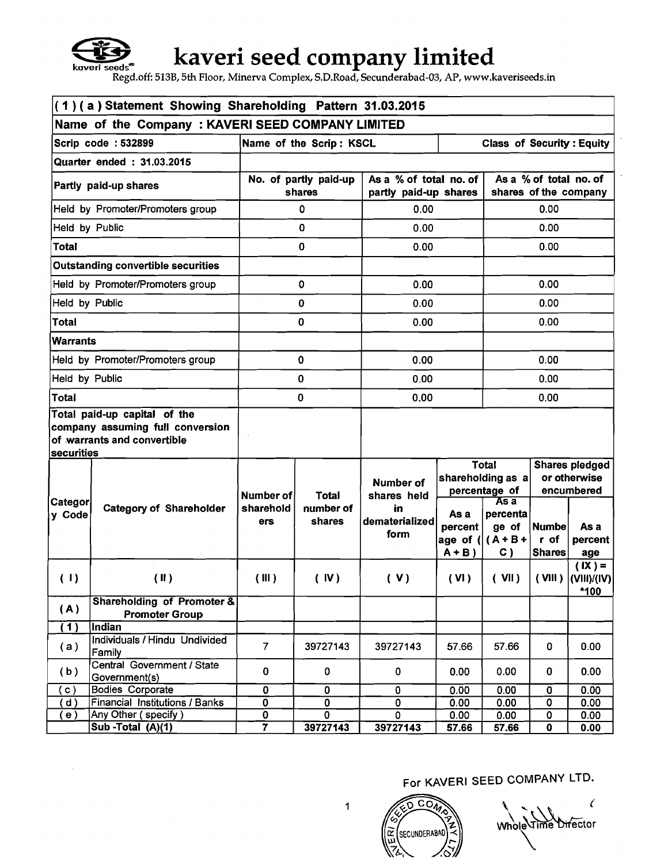

# **kaveri seed company limited**

**Regd.off: 513B, 5th Floor, Minerva Complex, S.D.Road, Secunderabad-03, AP, www.kaveriseeds.in** 

| (1)(a) Statement Showing Shareholding Pattern 31.03.2015 |                                                                                                 |                                 |                         |                                                 |                                        |                                                                   |                                       |                                                     |  |
|----------------------------------------------------------|-------------------------------------------------------------------------------------------------|---------------------------------|-------------------------|-------------------------------------------------|----------------------------------------|-------------------------------------------------------------------|---------------------------------------|-----------------------------------------------------|--|
| Name of the Company: KAVERI SEED COMPANY LIMITED         |                                                                                                 |                                 |                         |                                                 |                                        |                                                                   |                                       |                                                     |  |
|                                                          | Scrip code: 532899                                                                              |                                 | Name of the Scrip: KSCL |                                                 |                                        | <b>Class of Security: Equity</b>                                  |                                       |                                                     |  |
|                                                          | Quarter ended: 31.03.2015                                                                       |                                 |                         |                                                 |                                        |                                                                   |                                       |                                                     |  |
|                                                          | Partly paid-up shares                                                                           | No. of partly paid-up<br>shares |                         | As a % of total no. of<br>partly paid-up shares |                                        | As a % of total no. of<br>shares of the company                   |                                       |                                                     |  |
|                                                          | Held by Promoter/Promoters group                                                                |                                 | 0                       | 0.00                                            |                                        |                                                                   | 0.00                                  |                                                     |  |
| Held by Public                                           |                                                                                                 |                                 | $\mathbf 0$             | 0.00                                            |                                        |                                                                   | 0.00                                  |                                                     |  |
| <b>Total</b>                                             |                                                                                                 |                                 | 0                       | 0.00                                            |                                        |                                                                   | 0.00                                  |                                                     |  |
|                                                          | <b>Outstanding convertible securities</b>                                                       |                                 |                         |                                                 |                                        |                                                                   |                                       |                                                     |  |
|                                                          | Held by Promoter/Promoters group                                                                |                                 | 0                       | 0.00                                            |                                        |                                                                   | 0.00                                  |                                                     |  |
| Held by Public                                           |                                                                                                 |                                 | 0                       | 0.00                                            |                                        |                                                                   | 0.00                                  |                                                     |  |
| <b>Total</b>                                             |                                                                                                 |                                 | $\mathbf 0$             | 0.00                                            |                                        |                                                                   | 0.00                                  |                                                     |  |
| <b>Warrants</b>                                          |                                                                                                 |                                 |                         |                                                 |                                        |                                                                   |                                       |                                                     |  |
|                                                          | Held by Promoter/Promoters group                                                                | 0                               |                         | 0.00                                            |                                        |                                                                   | 0.00                                  |                                                     |  |
| Held by Public                                           |                                                                                                 | 0                               |                         | 0.00                                            |                                        | 0.00                                                              |                                       |                                                     |  |
| Total                                                    |                                                                                                 | 0                               |                         | 0.00                                            |                                        | 0.00                                                              |                                       |                                                     |  |
| securities                                               | Total paid-up capital of the<br>company assuming full conversion<br>of warrants and convertible |                                 |                         |                                                 |                                        |                                                                   |                                       |                                                     |  |
| Categor                                                  |                                                                                                 | Number of<br><b>Total</b>       |                         | Number of<br>shares held                        |                                        | <b>Total</b><br>shareholding as a<br>percentage of<br><b>As a</b> |                                       | <b>Shares pledged</b><br>or otherwise<br>encumbered |  |
| y Code                                                   | <b>Category of Shareholder</b>                                                                  | sharehold<br>ers                | number of<br>shares     | in<br>dematerialized<br>form                    | As a<br>percent<br>age of (<br>$A + B$ | percenta<br>ge of<br>$(A + B +$<br>$C$ )                          | <b>Numbe</b><br>r of<br><b>Shares</b> | As a<br>percent<br>age                              |  |
| (1)                                                      | (II)                                                                                            | (III)                           | (IV)                    | (V)                                             | (VI)                                   | $($ VII $)$                                                       |                                       | $(X) =$<br>$(VIII)$ $(VIII)/(IV)$<br>*100           |  |
| (A)                                                      | <b>Shareholding of Promoter &amp;</b><br><b>Promoter Group</b>                                  |                                 |                         |                                                 |                                        |                                                                   |                                       |                                                     |  |
| $\overline{(1)}$                                         | Indian                                                                                          |                                 |                         |                                                 |                                        |                                                                   |                                       |                                                     |  |
| (a)                                                      | Individuals / Hindu Undivided<br>Family                                                         | $\overline{7}$                  | 39727143                | 39727143                                        | 57.66                                  | 57.66                                                             | 0                                     | 0.00                                                |  |
| (b)                                                      | Central Government / State<br>Government(s)                                                     | 0                               | 0                       | 0                                               | 0.00                                   | 0.00                                                              | 0                                     | 0.00                                                |  |
| (c)                                                      | <b>Bodies Corporate</b>                                                                         | 0                               | 0                       | 0                                               | 0.00                                   | 0.00                                                              | 0                                     | 0.00                                                |  |
| $\mathsf{d}$ )                                           | Financial Institutions / Banks                                                                  | 0                               | 0                       | 0                                               | 0.00                                   | 0.00                                                              | 0                                     | 0.00                                                |  |
| $\epsilon$ )                                             | Any Other (specify)                                                                             | $\overline{\mathbf{0}}$         | $\overline{\mathbf{0}}$ | $\mathbf 0$                                     | 0.00                                   | 0.00                                                              | 0                                     | 0.00                                                |  |
|                                                          | Sub - Total $(A)(1)$                                                                            | $\overline{\mathbf{7}}$         | 39727143                | 39727143                                        | 57.66                                  | 57.66                                                             | 0                                     | 0.00                                                |  |



Whole Time Director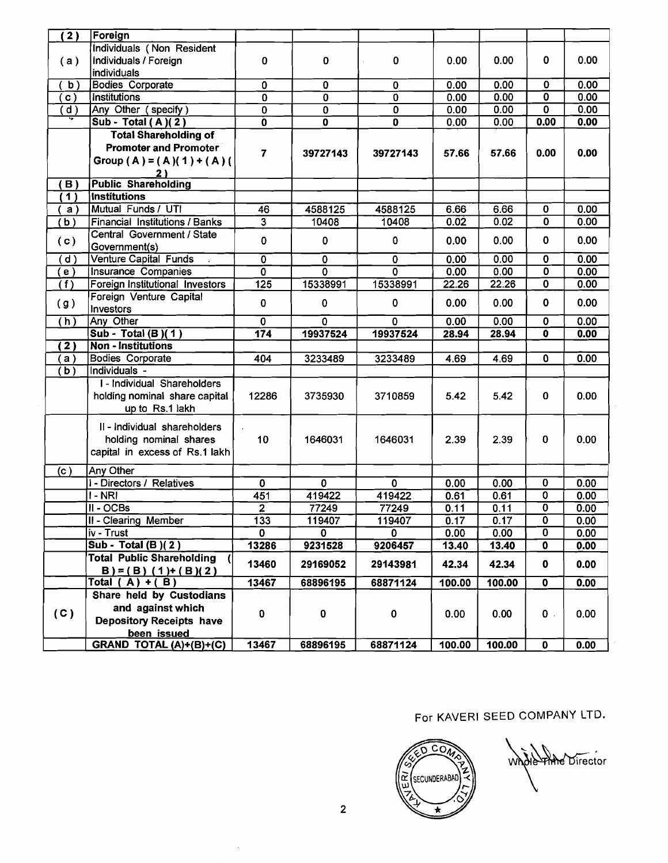| (2)            | Foreign                                                    |                           |                         |                                                    |        |              |                                                    |              |
|----------------|------------------------------------------------------------|---------------------------|-------------------------|----------------------------------------------------|--------|--------------|----------------------------------------------------|--------------|
|                | Individuals (Non Resident                                  |                           |                         |                                                    |        |              |                                                    |              |
| (a)            | Individuals / Foreign                                      | 0                         | 0                       | 0                                                  | 0.00   | 0.00         | 0                                                  | 0.00         |
|                | individuals                                                |                           |                         |                                                    |        |              |                                                    |              |
| b)             | <b>Bodies Corporate</b>                                    | $\overline{\mathfrak{o}}$ | $\overline{\mathbf{0}}$ | $\overline{0}$                                     | 0.00   | 0.00         | 0                                                  | 0.00         |
| $\mathbf{c}$ ) | Institutions                                               | $\overline{\mathbf{0}}$   | $\overline{\mathbf{0}}$ | $\overline{\mathbf{0}}$                            | 0.00   | 0.00         | 0                                                  | 0.00         |
| $\mathsf{d}$ ) | Any Other (specify)                                        | $\overline{\mathbf{0}}$   | 0                       | $\overline{\mathbf{0}}$<br>$\overline{\mathbf{0}}$ | 0.00   | 0.00         | $\overline{0}$                                     | 0.00<br>0.00 |
|                | Sub - Total (A)(2)<br><b>Total Shareholding of</b>         | $\overline{\mathbf{0}}$   | $\mathbf 0$             |                                                    | 0.00   | 0.00         | 0.00                                               |              |
|                | <b>Promoter and Promoter</b>                               |                           |                         |                                                    |        |              |                                                    |              |
|                | Group (A) = (A)(1) + (A)(                                  | $\overline{7}$            | 39727143                | 39727143                                           | 57.66  | 57.66        | 0.00                                               | 0.00         |
|                | 2 ነ                                                        |                           |                         |                                                    |        |              |                                                    |              |
| <b>B</b> )     | <b>Public Shareholding</b>                                 |                           |                         |                                                    |        |              |                                                    |              |
| (1)            | <b>Institutions</b>                                        |                           |                         |                                                    |        |              |                                                    |              |
| a)             | Mutual Funds / UTI                                         | 46                        | 4588125                 | 4588125                                            | 6.66   | 6.66         | 0                                                  | 0.00         |
| (b)            | Financial Institutions / Banks                             | $\overline{\mathbf{3}}$   | 10408                   | 10408                                              | 0.02   | 0.02         | 0                                                  | 0.00         |
| (c)            | Central Government / State                                 | $\mathbf 0$               | $\mathbf 0$             | 0                                                  | 0.00   | 0.00         | $\mathbf 0$                                        | 0.00         |
|                | Government(s)                                              |                           |                         |                                                    |        |              |                                                    |              |
| ( d )          | <b>Venture Capital Funds</b>                               | $\overline{0}$            | $\mathbf 0$             | 0                                                  | 0.00   | 0.00         | $\pmb{0}$                                          | 0.00         |
| (e)            | Insurance Companies                                        | $\overline{\mathbf{0}}$   | $\mathbf 0$             | $\overline{0}$                                     | 0.00   | 0.00         | $\overline{\mathbf{0}}$                            | 0.00         |
| (1)            | Foreign Institutional Investors<br>Foreign Venture Capital | 125                       | 15338991                | 15338991                                           | 22.26  | 22.26        | 0                                                  | 0.00         |
| (g)            | Investors                                                  | 0                         | $\mathbf 0$             | 0                                                  | 0.00   | 0.00         | $\mathbf 0$                                        | 0.00         |
| (h)            | Any Other                                                  | $\mathbf 0$               | $\Omega$                | 0                                                  | 0.00   | 0.00         | $\overline{\mathbf{0}}$                            | 0.00         |
|                | Sub - Total (B)(1)                                         | $\overline{174}$          | 19937524                | 19937524                                           | 28.94  | 28.94        | $\mathbf 0$                                        | 0.00         |
| (2)            | <b>Non - Institutions</b>                                  |                           |                         |                                                    |        |              |                                                    |              |
| а)             | <b>Bodies Corporate</b>                                    | 404                       | 3233489                 | 3233489                                            | 4.69   | 4.69         | 0                                                  | 0.00         |
| (b)            | Individuals -                                              |                           |                         |                                                    |        |              |                                                    |              |
|                | I - Individual Shareholders                                | 12286                     |                         |                                                    | 5.42   | 5.42         | $\mathbf{0}$                                       | 0.00         |
|                | holding nominal share capital<br>up to Rs.1 lakh           |                           | 3735930                 | 3710859                                            |        |              |                                                    |              |
|                |                                                            |                           |                         |                                                    |        |              |                                                    |              |
|                | II - Individual shareholders                               |                           |                         |                                                    |        |              |                                                    |              |
|                | holding nominal shares                                     | 10 <sub>1</sub>           | 1646031                 | 1646031                                            | 2.39   | 2.39         | 0                                                  | 0.00         |
|                | capital in excess of Rs.1 lakh                             |                           |                         |                                                    |        |              |                                                    |              |
| (c)            | Any Other                                                  |                           |                         |                                                    |        |              |                                                    |              |
|                | I - Directors / Relatives                                  | 0                         | $\mathbf{0}$            | $\mathbf 0$                                        | 0.00   | 0.00         | 0                                                  | 0.00         |
|                | I - NRI                                                    | 451                       | 419422                  | 419422                                             | 0.61   | 0.61         | 0                                                  | 0.00         |
|                | II - OCBs                                                  | $\mathbf{2}$              | 77249                   | 77249                                              | 0.11   | 0.11         | $\overline{\mathbf{0}}$                            | 0.00         |
|                | II - Clearing Member<br>iv - Trust                         | 133<br>$\mathbf{0}$       | 119407<br>$\mathbf{0}$  | 119407                                             | 0.17   | 0.17<br>0.00 | $\overline{\mathbf{0}}$<br>$\overline{\mathbf{0}}$ | 0.00         |
|                | Sub - Total (B)( $2$ )                                     |                           |                         | 0                                                  | 0.00   |              |                                                    | 0.00         |
|                | <b>Total Public Shareholding</b>                           | 13286                     | 9231528                 | 9206457                                            | 13.40  | 13.40        | 0                                                  | 0.00         |
|                | $B$ ) = (B) (1) + (B)(2)                                   | 13460                     | 29169052                | 29143981                                           | 42.34  | 42.34        | 0                                                  | 0.00         |
|                | Total ( A ) + ( B )                                        | 13467                     | 68896195                | 68871124                                           | 100.00 | 100.00       | $\overline{\mathbf{0}}$                            | 0.00         |
|                | Share held by Custodians                                   |                           |                         |                                                    |        |              |                                                    |              |
|                | and against which                                          |                           |                         |                                                    |        |              |                                                    |              |
| (C)            | <b>Depository Receipts have</b>                            | 0                         | 0                       | 0                                                  | 0.00   | 0.00         | $\mathbf{0}$ .                                     | 0.00         |
|                | been issued                                                |                           |                         |                                                    |        |              |                                                    |              |
|                | GRAND TOTAL (A)+(B)+(C)                                    | 13467                     | 68896195                | 68871124                                           | 100.00 | 100.00       | $\mathbf 0$                                        | 0.00         |

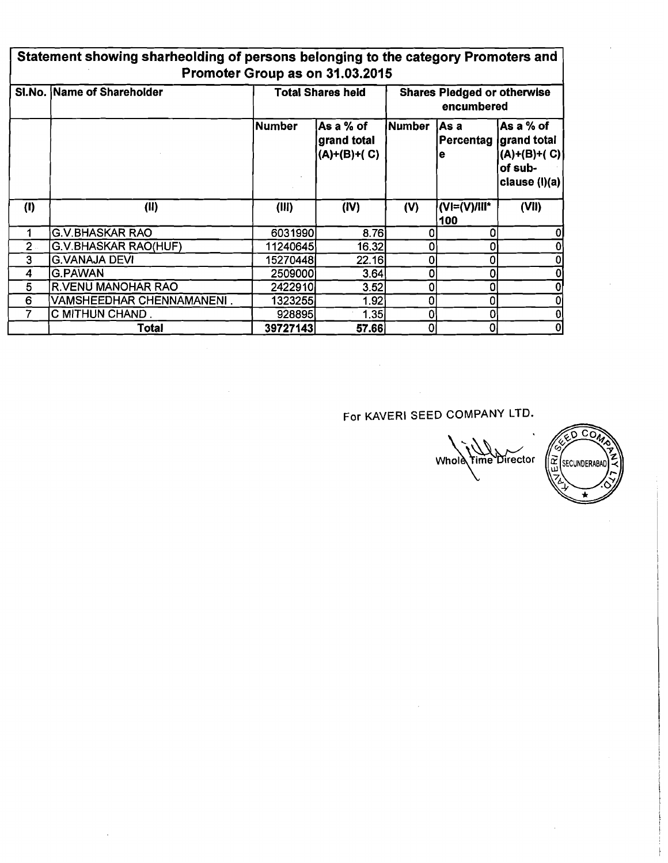| Statement showing sharheolding of persons belonging to the category Promoters and |
|-----------------------------------------------------------------------------------|
| Promoter Group as on 31.03.2015                                                   |

|       | SI.No. Name of Shareholder |          | <b>Total Shares held</b>                  | <b>Shares Pledged or otherwise</b><br>encumbered |                     |                                                                                    |  |
|-------|----------------------------|----------|-------------------------------------------|--------------------------------------------------|---------------------|------------------------------------------------------------------------------------|--|
|       |                            | Number   | As a % of<br>grand total<br>$(A)+(B)+(C)$ | Number                                           | lAs a<br>е          | lAs a % of<br>Percentag grand total<br> (A)+(B)+( C) <br>of sub-<br> clause (l)(a) |  |
| (1)   | (II)                       | (III)    | (IV)                                      | (V)                                              | (VI=(V)/III*<br>100 | (VII)                                                                              |  |
|       | <b>G.V.BHASKAR RAO</b>     | 6031990  | 8.76                                      |                                                  |                     | 0                                                                                  |  |
| $2 -$ | G.V.BHASKAR RAO(HUF)       | 11240645 | 16.32                                     |                                                  |                     | 0                                                                                  |  |
| 3     | <b>G.VANAJA DEVI</b>       | 15270448 | 22.16                                     |                                                  |                     | $\overline{0}$                                                                     |  |
| 4     | <b>G.PAWAN</b>             | 2509000  | 3.64                                      |                                                  |                     | $\overline{0}$                                                                     |  |
| 5     | <b>R.VENU MANOHAR RAO</b>  | 2422910  | 3.52                                      |                                                  |                     | $\overline{0}$                                                                     |  |
| 6     | VAMSHEEDHAR CHENNAMANENI.  | 1323255  | 1.92                                      |                                                  |                     | $\mathbf{0}$                                                                       |  |
|       | C MITHUN CHAND.            | 928895   | 1.35                                      |                                                  |                     | $\mathbf{0}$                                                                       |  |
|       | Total                      | 39727143 | 57.66                                     |                                                  | 0                   | $\boldsymbol{0}$                                                                   |  |

 $\bar{z}$ 

For KAVERI SEED COMPANY LTD.

 $\sim 10^{11}$  km s  $^{-1}$ 

Whole Fime Director (2)

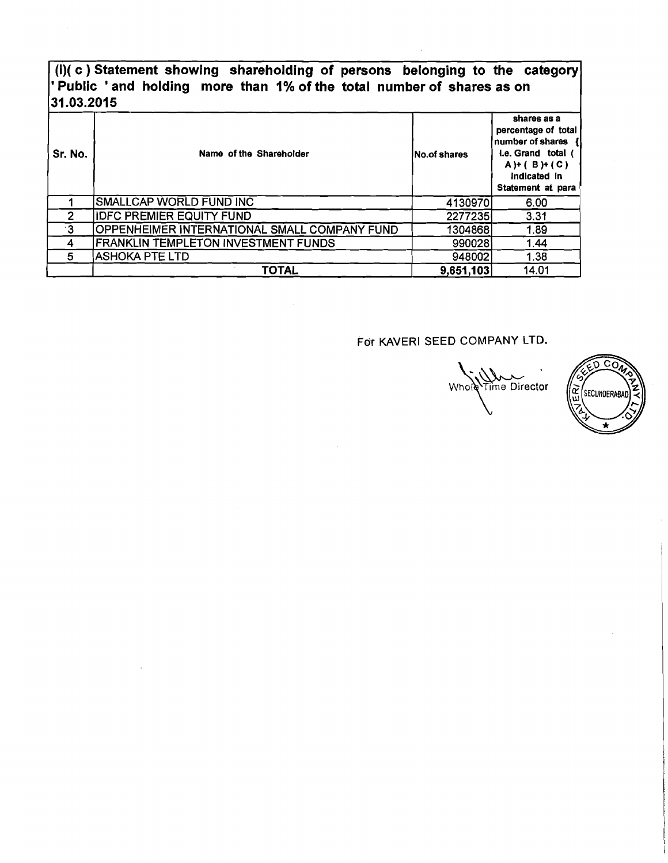### **(I)( c** ) **Statement showing shareholding of persons belonging to the category**  ' **Public** ' **and holding more than 1% of the total number of shares as on 31.03.2015**

| Sr. No. | Name of the Shareholder                      | lNo.of shares | shares as a<br>percentage of total<br>number of shares {<br>I.e. Grand total (<br>$A$ )+ ( B )+ ( C )<br>Indicated in<br>Statement at para |
|---------|----------------------------------------------|---------------|--------------------------------------------------------------------------------------------------------------------------------------------|
|         | <b>SMALLCAP WORLD FUND INC</b>               | 4130970       | 6.00                                                                                                                                       |
| 2       | <b>IDFC PREMIER EQUITY FUND</b>              | 2277235       | 3.31                                                                                                                                       |
| ∙3      | OPPENHEIMER INTERNATIONAL SMALL COMPANY FUND | 1304868       | 1.89                                                                                                                                       |
| 4       | FRANKLIN TEMPLETON INVESTMENT FUNDS          | 990028        | 1.44                                                                                                                                       |
| 5       | <b>ASHOKA PTE LTD</b>                        | 948002        | 1.38                                                                                                                                       |
|         | <b>TOTAL</b>                                 | 9,651,103     | 14.01                                                                                                                                      |

Time Director **Whole** 

 $\widetilde{\mathsf{co}}$ C) œ SECUNDERABAD Ŵ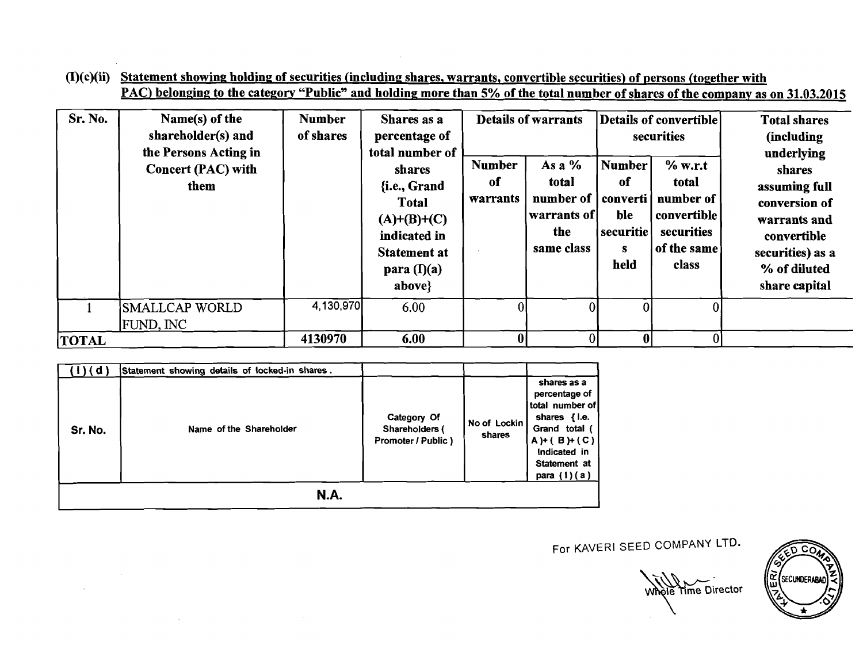$(I)(c)(ii)$  Statement showing holding of securities (including shares, warrants, convertible securities) of persons (together with PAC) belonging to the category "Public" and holding more than **5%** of the total number of shares of the company as on **31.03.2015** 

| Sr. No.      | Name(s) of the<br>shareholder(s) and<br>the Persons Acting in<br><b>Concert (PAC) with</b><br>them | <b>Number</b><br>of shares | Shares as a<br>percentage of<br>total number of<br>shares<br>{i.e., Grand<br>Total<br>$(A)+(B)+(C)$<br>indicated in<br><b>Statement at</b><br>para $(I)(a)$ | <b>Number</b><br>of<br>warrants | <b>Details of warrants</b><br>As a $%$<br>total<br>number of   converti  <br>  warrants of  <br>the<br>same class | <b>Number</b><br>of<br>ble<br>  securitie  <br>s<br>held | Details of convertible<br>securities<br>$%$ w.r.t<br>total<br>number of<br><b>convertible</b><br>securities<br>of the same<br>class | <b>Total shares</b><br>(including<br>underlying<br>shares<br>assuming full<br>conversion of<br>warrants and<br>convertible<br>securities) as a<br>% of diluted |
|--------------|----------------------------------------------------------------------------------------------------|----------------------------|-------------------------------------------------------------------------------------------------------------------------------------------------------------|---------------------------------|-------------------------------------------------------------------------------------------------------------------|----------------------------------------------------------|-------------------------------------------------------------------------------------------------------------------------------------|----------------------------------------------------------------------------------------------------------------------------------------------------------------|
|              |                                                                                                    |                            | above}                                                                                                                                                      |                                 |                                                                                                                   |                                                          |                                                                                                                                     | share capital                                                                                                                                                  |
|              | <b>SMALLCAP WORLD</b><br><b>FUND, INC</b>                                                          | 4,130,970                  | 6.00                                                                                                                                                        |                                 |                                                                                                                   |                                                          |                                                                                                                                     |                                                                                                                                                                |
| <b>TOTAL</b> |                                                                                                    | 4130970                    | 6.00                                                                                                                                                        |                                 |                                                                                                                   |                                                          | $\Omega$                                                                                                                            |                                                                                                                                                                |

| (d)     | Statement showing details of locked-in shares. |                                                     |                        |                                                                                                                                                        |  |  |
|---------|------------------------------------------------|-----------------------------------------------------|------------------------|--------------------------------------------------------------------------------------------------------------------------------------------------------|--|--|
| Sr. No. | Name of the Shareholder                        | Category Of<br>Shareholders (<br>Promoter / Public) | No of Lockin<br>shares | shares as a<br>percentage of<br>total number of<br>shares {i.e.<br>Grand total (<br>$A$ ) + (B) + (C)<br>Indicated in<br>Statement at<br>para $(1)(a)$ |  |  |
| N.A.    |                                                |                                                     |                        |                                                                                                                                                        |  |  |

 $\mathcal{A}$ 

Whole Time Director